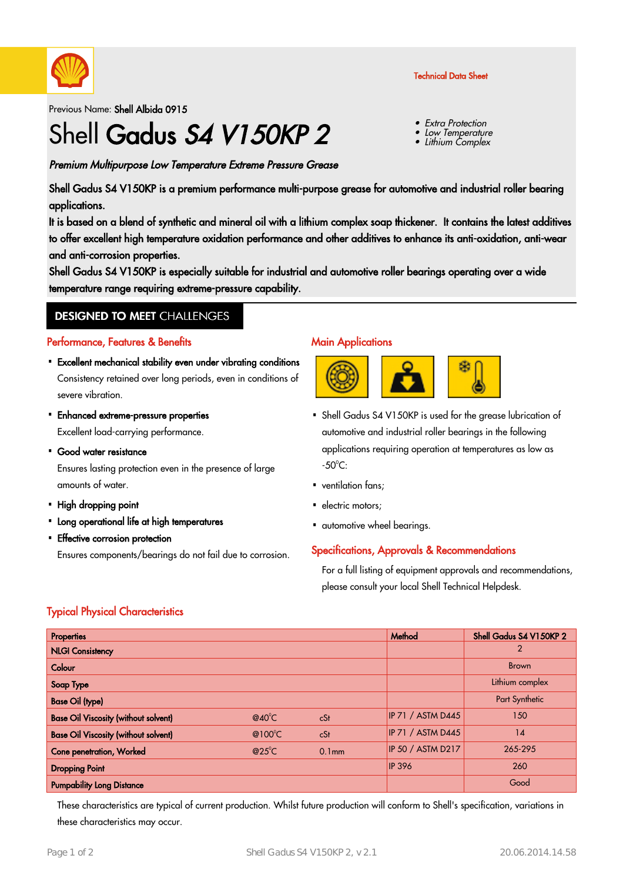

Previous Name: Shell Albida 0915

# Shell Gadus S4 V150KP 2

Premium Multipurpose Low Temperature Extreme Pressure Grease

Shell Gadus S4 V150KP is a premium performance multi-purpose grease for automotive and industrial roller bearing applications.

It is based on a blend of synthetic and mineral oil with a lithium complex soap thickener. It contains the latest additives to offer excellent high temperature oxidation performance and other additives to enhance its anti-oxidation, anti-wear and anti-corrosion properties.

Shell Gadus S4 V150KP is especially suitable for industrial and automotive roller bearings operating over a wide temperature range requiring extreme-pressure capability.

# **DESIGNED TO MEET CHALLENGES**

#### Performance, Features & Benefits

- Excellent mechanical stability even under vibrating conditions · Consistency retained over long periods, even in conditions of severe vibration.
- Enhanced extreme-pressure properties · Excellent load-carrying performance.
- Good water resistance Ensures lasting protection even in the presence of large amounts of water.
- High dropping point
- Long operational life at high temperatures
- Effective corrosion protection

Ensures components/bearings do not fail due to corrosion.

### **Main Applications**



Shell Gadus S4 V150KP is used for the grease lubrication of · automotive and industrial roller bearings in the following applications requiring operation at temperatures as low as  $-50^{\circ}$ C:

Technical Data Sheet

 Extra Protection • Low Temperature • Lithium Complex

•

- ventilation fans:
- electric motors;
- automotive wheel bearings.

### Specifications, Approvals & Recommendations

For a full listing of equipment approvals and recommendations, please consult your local Shell Technical Helpdesk.

# Typical Physical Characteristics

| Properties                                  |                  |                   | Method                   | Shell Gadus S4 V150KP 2 |
|---------------------------------------------|------------------|-------------------|--------------------------|-------------------------|
| <b>NLGI Consistency</b>                     |                  |                   |                          | $\mathcal{P}$           |
| Colour                                      |                  |                   |                          | <b>Brown</b>            |
| Soap Type                                   |                  |                   |                          | Lithium complex         |
| <b>Base Oil (type)</b>                      |                  |                   |                          | Part Synthetic          |
| <b>Base Oil Viscosity (without solvent)</b> | $@40^{\circ}$ C  | cSt               | <b>IP 71 / ASTM D445</b> | 150                     |
| <b>Base Oil Viscosity (without solvent)</b> | @100 $\degree$ C | cSt               | IP 71 / ASTM D445        | 14                      |
| Cone penetration, Worked                    | $@25^{\circ}$ C  | 0.1 <sub>mm</sub> | IP 50 / ASTM D217        | 265-295                 |
| <b>Dropping Point</b>                       |                  |                   | <b>IP 396</b>            | 260                     |
| <b>Pumpability Long Distance</b>            |                  |                   |                          | Good                    |

These characteristics are typical of current production. Whilst future production will conform to Shell's specification, variations in these characteristics may occur.